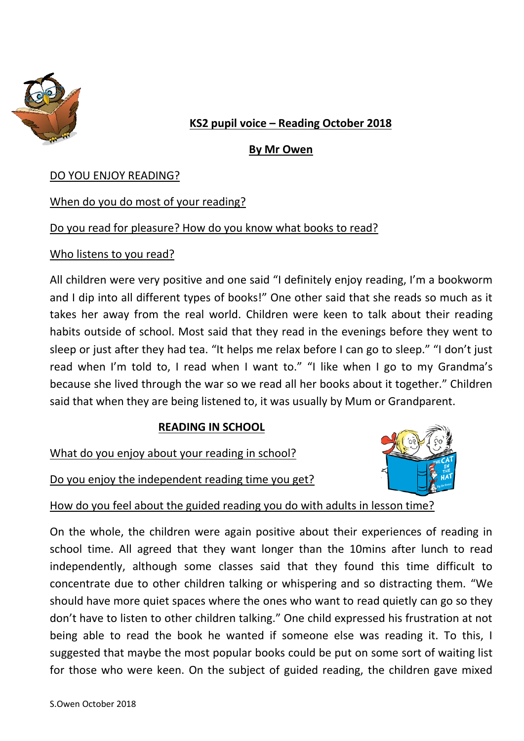

# **KS2 pupil voice – Reading October 2018**

## **By Mr Owen**

### DO YOU ENJOY READING?

### When do you do most of your reading?

## Do you read for pleasure? How do you know what books to read?

## Who listens to you read?

All children were very positive and one said "I definitely enjoy reading, I'm a bookworm and I dip into all different types of books!" One other said that she reads so much as it takes her away from the real world. Children were keen to talk about their reading habits outside of school. Most said that they read in the evenings before they went to sleep or just after they had tea. "It helps me relax before I can go to sleep." "I don't just read when I'm told to, I read when I want to." "I like when I go to my Grandma's because she lived through the war so we read all her books about it together." Children said that when they are being listened to, it was usually by Mum or Grandparent.

### **READING IN SCHOOL**

What do you enjoy about your reading in school?

Do you enjoy the independent reading time you get?



How do you feel about the guided reading you do with adults in lesson time?

On the whole, the children were again positive about their experiences of reading in school time. All agreed that they want longer than the 10mins after lunch to read independently, although some classes said that they found this time difficult to concentrate due to other children talking or whispering and so distracting them. "We should have more quiet spaces where the ones who want to read quietly can go so they don't have to listen to other children talking." One child expressed his frustration at not being able to read the book he wanted if someone else was reading it. To this, I suggested that maybe the most popular books could be put on some sort of waiting list for those who were keen. On the subject of guided reading, the children gave mixed